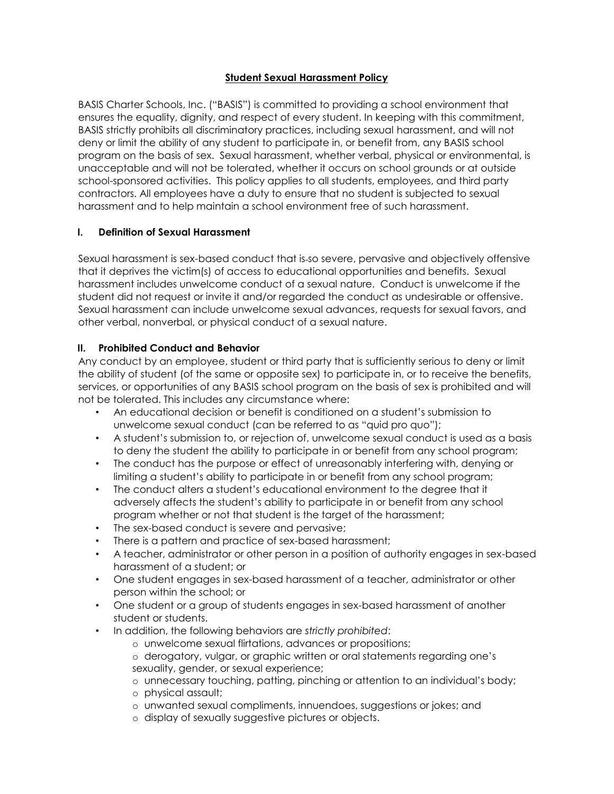# **Student Sexual Harassment Policy**

BASIS Charter Schools, Inc. ("BASIS") is committed to providing a school environment that ensures the equality, dignity, and respect of every student. In keeping with this commitment, BASIS strictly prohibits all discriminatory practices, including sexual harassment, and will not deny or limit the ability of any student to participate in, or benefit from, any BASIS school program on the basis of sex. Sexual harassment, whether verbal, physical or environmental, is unacceptable and will not be tolerated, whether it occurs on school grounds or at outside school-sponsored activities. This policy applies to all students, employees, and third party contractors. All employees have a duty to ensure that no student is subjected to sexual harassment and to help maintain a school environment free of such harassment.

# **I. Definition of Sexual Harassment**

Sexual harassment is sex-based conduct that is so severe, pervasive and objectively offensive that it deprives the victim(s) of access to educational opportunities and benefits. Sexual harassment includes unwelcome conduct of a sexual nature. Conduct is unwelcome if the student did not request or invite it and/or regarded the conduct as undesirable or offensive. Sexual harassment can include unwelcome sexual advances, requests for sexual favors, and other verbal, nonverbal, or physical conduct of a sexual nature.

# **II. Prohibited Conduct and Behavior**

Any conduct by an employee, student or third party that is sufficiently serious to deny or limit the ability of student (of the same or opposite sex) to participate in, or to receive the benefits, services, or opportunities of any BASIS school program on the basis of sex is prohibited and will not be tolerated. This includes any circumstance where:

- An educational decision or benefit is conditioned on a student's submission to unwelcome sexual conduct (can be referred to as "quid pro quo");
- A student's submission to, or rejection of, unwelcome sexual conduct is used as a basis to deny the student the ability to participate in or benefit from any school program;
- The conduct has the purpose or effect of unreasonably interfering with, denying or limiting a student's ability to participate in or benefit from any school program;
- The conduct alters a student's educational environment to the degree that it adversely affects the student's ability to participate in or benefit from any school program whether or not that student is the target of the harassment;
- The sex-based conduct is severe and pervasive;
- There is a pattern and practice of sex-based harassment;
- A teacher, administrator or other person in a position of authority engages in sex-based harassment of a student; or
- One student engages in sex-based harassment of a teacher, administrator or other person within the school; or
- One student or a group of students engages in sex-based harassment of another student or students.
- In addition, the following behaviors are *strictly prohibited*:
	- o unwelcome sexual flirtations, advances or propositions;
	- o derogatory, vulgar, or graphic written or oral statements regarding one's sexuality, gender, or sexual experience;
	- o unnecessary touching, patting, pinching or attention to an individual's body;
	- o physical assault;
	- o unwanted sexual compliments, innuendoes, suggestions or jokes; and
	- o display of sexually suggestive pictures or objects.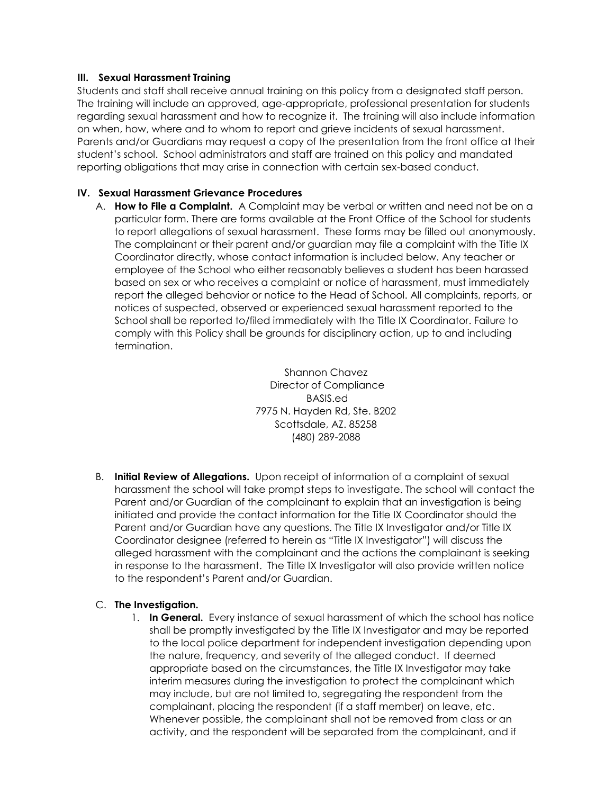## **III. Sexual Harassment Training**

Students and staff shall receive annual training on this policy from a designated staff person. The training will include an approved, age-appropriate, professional presentation for students regarding sexual harassment and how to recognize it. The training will also include information on when, how, where and to whom to report and grieve incidents of sexual harassment. Parents and/or Guardians may request a copy of the presentation from the front office at their student's school. School administrators and staff are trained on this policy and mandated reporting obligations that may arise in connection with certain sex-based conduct.

## **IV. Sexual Harassment Grievance Procedures**

A. **How to File a Complaint.** A Complaint may be verbal or written and need not be on a particular form. There are forms available at the Front Office of the School for students to report allegations of sexual harassment. These forms may be filled out anonymously. The complainant or their parent and/or guardian may file a complaint with the Title IX Coordinator directly, whose contact information is included below. Any teacher or employee of the School who either reasonably believes a student has been harassed based on sex or who receives a complaint or notice of harassment, must immediately report the alleged behavior or notice to the Head of School. All complaints, reports, or notices of suspected, observed or experienced sexual harassment reported to the School shall be reported to/filed immediately with the Title IX Coordinator. Failure to comply with this Policy shall be grounds for disciplinary action, up to and including termination.

> Shannon Chavez Director of Compliance BASIS.ed 7975 N. Hayden Rd, Ste. B202 Scottsdale, AZ. 85258 (480) 289-2088

B. **Initial Review of Allegations.** Upon receipt of information of a complaint of sexual harassment the school will take prompt steps to investigate. The school will contact the Parent and/or Guardian of the complainant to explain that an investigation is being initiated and provide the contact information for the Title IX Coordinator should the Parent and/or Guardian have any questions. The Title IX Investigator and/or Title IX Coordinator designee (referred to herein as "Title IX Investigator") will discuss the alleged harassment with the complainant and the actions the complainant is seeking in response to the harassment. The Title IX Investigator will also provide written notice to the respondent's Parent and/or Guardian.

### C. **The Investigation.**

1. **In General.** Every instance of sexual harassment of which the school has notice shall be promptly investigated by the Title IX Investigator and may be reported to the local police department for independent investigation depending upon the nature, frequency, and severity of the alleged conduct. If deemed appropriate based on the circumstances, the Title IX Investigator may take interim measures during the investigation to protect the complainant which may include, but are not limited to, segregating the respondent from the complainant, placing the respondent (if a staff member) on leave, etc. Whenever possible, the complainant shall not be removed from class or an activity, and the respondent will be separated from the complainant, and if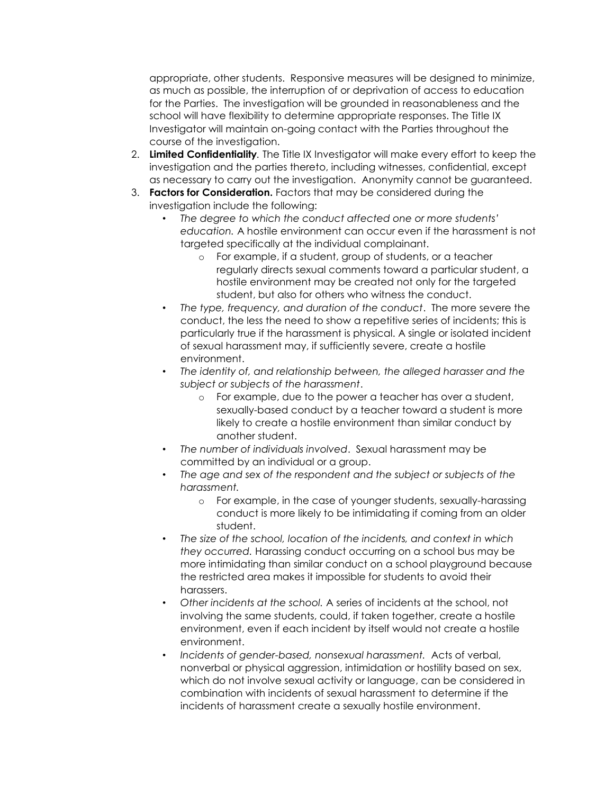appropriate, other students. Responsive measures will be designed to minimize, as much as possible, the interruption of or deprivation of access to education for the Parties. The investigation will be grounded in reasonableness and the school will have flexibility to determine appropriate responses. The Title IX Investigator will maintain on-going contact with the Parties throughout the course of the investigation.

- 2. **Limited Confidentiality***.* The Title IX Investigator will make every effort to keep the investigation and the parties thereto, including witnesses, confidential, except as necessary to carry out the investigation. Anonymity cannot be guaranteed.
- 3. **Factors for Consideration.** Factors that may be considered during the investigation include the following:
	- *The degree to which the conduct affected one or more students' education.* A hostile environment can occur even if the harassment is not targeted specifically at the individual complainant.
		- o For example, if a student, group of students, or a teacher regularly directs sexual comments toward a particular student, a hostile environment may be created not only for the targeted student, but also for others who witness the conduct.
	- *The type, frequency, and duration of the conduct*. The more severe the conduct, the less the need to show a repetitive series of incidents; this is particularly true if the harassment is physical. A single or isolated incident of sexual harassment may, if sufficiently severe, create a hostile environment.
	- *The identity of, and relationship between, the alleged harasser and the subject or subjects of the harassment*.
		- o For example, due to the power a teacher has over a student, sexually-based conduct by a teacher toward a student is more likely to create a hostile environment than similar conduct by another student.
	- *The number of individuals involved*. Sexual harassment may be committed by an individual or a group.
	- *The age and sex of the respondent and the subject or subjects of the harassment.* 
		- o For example, in the case of younger students, sexually-harassing conduct is more likely to be intimidating if coming from an older student.
	- *The size of the school, location of the incidents, and context in which they occurred.* Harassing conduct occurring on a school bus may be more intimidating than similar conduct on a school playground because the restricted area makes it impossible for students to avoid their harassers.
	- *Other incidents at the school.* A series of incidents at the school, not involving the same students, could, if taken together, create a hostile environment, even if each incident by itself would not create a hostile environment.
	- *Incidents of gender-based, nonsexual harassment.* Acts of verbal, nonverbal or physical aggression, intimidation or hostility based on sex, which do not involve sexual activity or language, can be considered in combination with incidents of sexual harassment to determine if the incidents of harassment create a sexually hostile environment.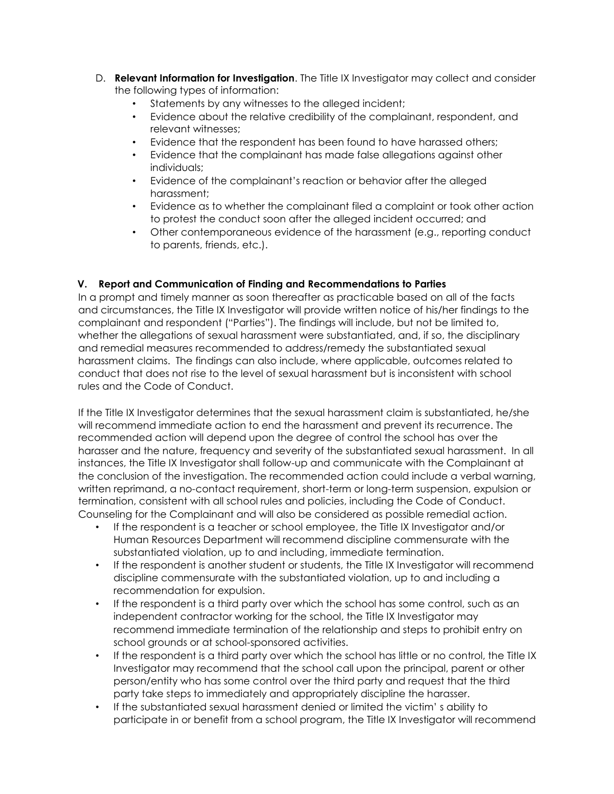- D. **Relevant Information for Investigation**. The Title IX Investigator may collect and consider the following types of information:
	- Statements by any witnesses to the alleged incident;
	- Evidence about the relative credibility of the complainant, respondent, and relevant witnesses;
	- Evidence that the respondent has been found to have harassed others;
	- Evidence that the complainant has made false allegations against other individuals;
	- Evidence of the complainant's reaction or behavior after the alleged harassment;
	- Evidence as to whether the complainant filed a complaint or took other action to protest the conduct soon after the alleged incident occurred; and
	- Other contemporaneous evidence of the harassment (e.g., reporting conduct to parents, friends, etc.).

# **V. Report and Communication of Finding and Recommendations to Parties**

In a prompt and timely manner as soon thereafter as practicable based on all of the facts and circumstances, the Title IX Investigator will provide written notice of his/her findings to the complainant and respondent ("Parties"). The findings will include, but not be limited to, whether the allegations of sexual harassment were substantiated, and, if so, the disciplinary and remedial measures recommended to address/remedy the substantiated sexual harassment claims. The findings can also include, where applicable, outcomes related to conduct that does not rise to the level of sexual harassment but is inconsistent with school rules and the Code of Conduct.

If the Title IX Investigator determines that the sexual harassment claim is substantiated, he/she will recommend immediate action to end the harassment and prevent its recurrence. The recommended action will depend upon the degree of control the school has over the harasser and the nature, frequency and severity of the substantiated sexual harassment. In all instances, the Title IX Investigator shall follow-up and communicate with the Complainant at the conclusion of the investigation. The recommended action could include a verbal warning, written reprimand, a no-contact requirement, short-term or long-term suspension, expulsion or termination, consistent with all school rules and policies, including the Code of Conduct. Counseling for the Complainant and will also be considered as possible remedial action.

- If the respondent is a teacher or school employee, the Title IX Investigator and/or Human Resources Department will recommend discipline commensurate with the substantiated violation, up to and including, immediate termination.
- If the respondent is another student or students, the Title IX Investigator will recommend discipline commensurate with the substantiated violation, up to and including a recommendation for expulsion.
- If the respondent is a third party over which the school has some control, such as an independent contractor working for the school, the Title IX Investigator may recommend immediate termination of the relationship and steps to prohibit entry on school grounds or at school-sponsored activities.
- If the respondent is a third party over which the school has little or no control, the Title IX Investigator may recommend that the school call upon the principal, parent or other person/entity who has some control over the third party and request that the third party take steps to immediately and appropriately discipline the harasser.
- If the substantiated sexual harassment denied or limited the victim' s ability to participate in or benefit from a school program, the Title IX Investigator will recommend